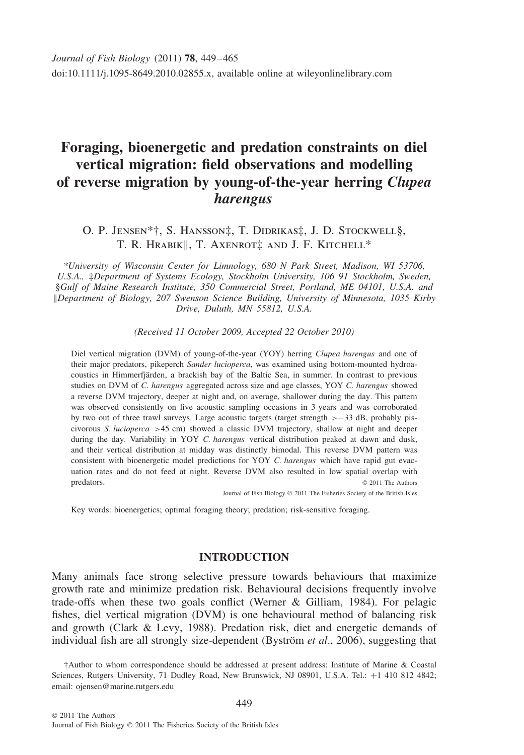# **Foraging, bioenergetic and predation constraints on diel vertical migration: field observations and modelling of reverse migration by young-of-the-year herring** *Clupea harengus*

## O. P. Jensen\*†, S. Hansson‡, T. Didrikas‡, J. D. Stockwell§, T. R. Hrabik||, T. Axenrot‡ and J. F. Kitchell\*

*\*University of Wisconsin Center for Limnology, 680 N Park Street, Madison, WI 53706, U.S.A.,* ‡*Department of Systems Ecology, Stockholm University, 106 91 Stockholm, Sweden,* §*Gulf of Maine Research Institute, 350 Commercial Street, Portland, ME 04101, U.S.A. and* -*Department of Biology, 207 Swenson Science Building, University of Minnesota, 1035 Kirby Drive, Duluth, MN 55812, U.S.A.*

*(Received 11 October 2009, Accepted 22 October 2010)*

Diel vertical migration (DVM) of young-of-the-year (YOY) herring *Clupea harengus* and one of their major predators, pikeperch *Sander lucioperca*, was examined using bottom-mounted hydroacoustics in Himmerfjärden, a brackish bay of the Baltic Sea, in summer. In contrast to previous studies on DVM of *C. harengus* aggregated across size and age classes, YOY *C. harengus* showed a reverse DVM trajectory, deeper at night and, on average, shallower during the day. This pattern was observed consistently on five acoustic sampling occasions in 3 years and was corroborated by two out of three trawl surveys. Large acoustic targets (target strength *>*−33 dB, probably piscivorous *S. lucioperca >*45 cm) showed a classic DVM trajectory, shallow at night and deeper during the day. Variability in YOY *C. harengus* vertical distribution peaked at dawn and dusk, and their vertical distribution at midday was distinctly bimodal. This reverse DVM pattern was consistent with bioenergetic model predictions for YOY *C. harengus* which have rapid gut evacuation rates and do not feed at night. Reverse DVM also resulted in low spatial overlap with predators.  $\qquad \qquad \otimes 2011$  The Authors

Journal of Fish Biology © 2011 The Fisheries Society of the British Isles

Key words: bioenergetics; optimal foraging theory; predation; risk-sensitive foraging.

## **INTRODUCTION**

Many animals face strong selective pressure towards behaviours that maximize growth rate and minimize predation risk. Behavioural decisions frequently involve trade-offs when these two goals conflict (Werner & Gilliam, 1984). For pelagic fishes, diel vertical migration (DVM) is one behavioural method of balancing risk and growth (Clark & Levy, 1988). Predation risk, diet and energetic demands of individual fish are all strongly size-dependent (Byström *et al.*, 2006), suggesting that

†Author to whom correspondence should be addressed at present address: Institute of Marine & Coastal Sciences, Rutgers University, 71 Dudley Road, New Brunswick, NJ 08901, U.S.A. Tel.: +1 410 812 4842; email: ojensen@marine.rutgers.edu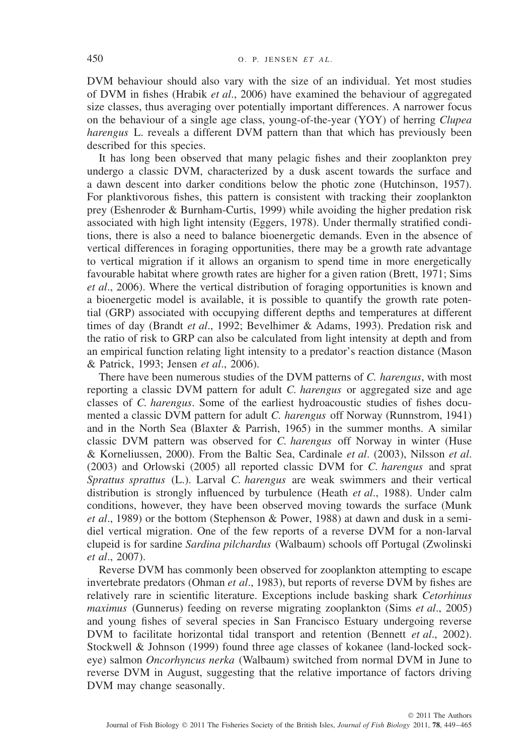DVM behaviour should also vary with the size of an individual. Yet most studies of DVM in fishes (Hrabik *et al*., 2006) have examined the behaviour of aggregated size classes, thus averaging over potentially important differences. A narrower focus on the behaviour of a single age class, young-of-the-year (YOY) of herring *Clupea harengus* L. reveals a different DVM pattern than that which has previously been described for this species.

It has long been observed that many pelagic fishes and their zooplankton prey undergo a classic DVM, characterized by a dusk ascent towards the surface and a dawn descent into darker conditions below the photic zone (Hutchinson, 1957). For planktivorous fishes, this pattern is consistent with tracking their zooplankton prey (Eshenroder & Burnham-Curtis, 1999) while avoiding the higher predation risk associated with high light intensity (Eggers, 1978). Under thermally stratified conditions, there is also a need to balance bioenergetic demands. Even in the absence of vertical differences in foraging opportunities, there may be a growth rate advantage to vertical migration if it allows an organism to spend time in more energetically favourable habitat where growth rates are higher for a given ration (Brett, 1971; Sims *et al*., 2006). Where the vertical distribution of foraging opportunities is known and a bioenergetic model is available, it is possible to quantify the growth rate potential (GRP) associated with occupying different depths and temperatures at different times of day (Brandt *et al*., 1992; Bevelhimer & Adams, 1993). Predation risk and the ratio of risk to GRP can also be calculated from light intensity at depth and from an empirical function relating light intensity to a predator's reaction distance (Mason & Patrick, 1993; Jensen *et al*., 2006).

There have been numerous studies of the DVM patterns of *C. harengus*, with most reporting a classic DVM pattern for adult *C. harengus* or aggregated size and age classes of *C. harengus*. Some of the earliest hydroacoustic studies of fishes documented a classic DVM pattern for adult *C. harengus* off Norway (Runnstrom, 1941) and in the North Sea (Blaxter & Parrish, 1965) in the summer months. A similar classic DVM pattern was observed for *C. harengus* off Norway in winter (Huse & Korneliussen, 2000). From the Baltic Sea, Cardinale *et al*. (2003), Nilsson *et al*. (2003) and Orlowski (2005) all reported classic DVM for *C. harengus* and sprat *Sprattus sprattus* (L.). Larval *C. harengus* are weak swimmers and their vertical distribution is strongly influenced by turbulence (Heath *et al*., 1988). Under calm conditions, however, they have been observed moving towards the surface (Munk *et al*., 1989) or the bottom (Stephenson & Power, 1988) at dawn and dusk in a semidiel vertical migration. One of the few reports of a reverse DVM for a non-larval clupeid is for sardine *Sardina pilchardus* (Walbaum) schools off Portugal (Zwolinski *et al*., 2007).

Reverse DVM has commonly been observed for zooplankton attempting to escape invertebrate predators (Ohman *et al*., 1983), but reports of reverse DVM by fishes are relatively rare in scientific literature. Exceptions include basking shark *Cetorhinus maximus* (Gunnerus) feeding on reverse migrating zooplankton (Sims *et al*., 2005) and young fishes of several species in San Francisco Estuary undergoing reverse DVM to facilitate horizontal tidal transport and retention (Bennett *et al*., 2002). Stockwell & Johnson (1999) found three age classes of kokanee (land-locked sockeye) salmon *Oncorhyncus nerka* (Walbaum) switched from normal DVM in June to reverse DVM in August, suggesting that the relative importance of factors driving DVM may change seasonally.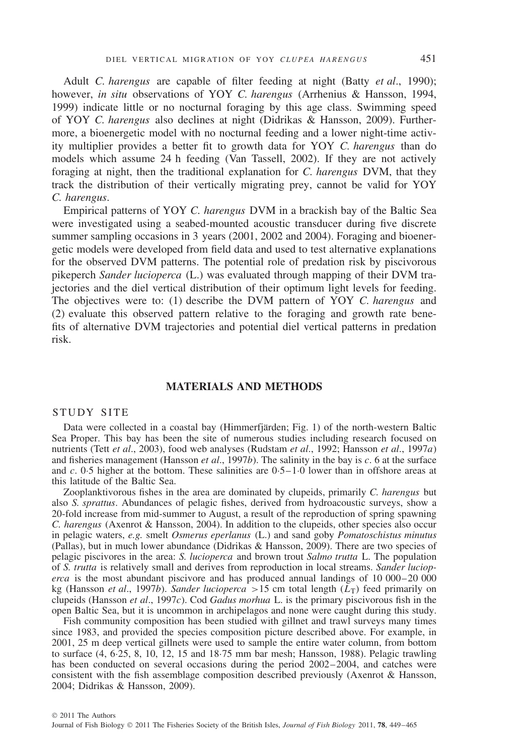Adult *C. harengus* are capable of filter feeding at night (Batty *et al*., 1990); however, *in situ* observations of YOY *C. harengus* (Arrhenius & Hansson, 1994, 1999) indicate little or no nocturnal foraging by this age class. Swimming speed of YOY *C. harengus* also declines at night (Didrikas & Hansson, 2009). Furthermore, a bioenergetic model with no nocturnal feeding and a lower night-time activity multiplier provides a better fit to growth data for YOY *C. harengus* than do models which assume 24 h feeding (Van Tassell, 2002). If they are not actively foraging at night, then the traditional explanation for *C. harengus* DVM, that they track the distribution of their vertically migrating prey, cannot be valid for YOY *C. harengus*.

Empirical patterns of YOY *C. harengus* DVM in a brackish bay of the Baltic Sea were investigated using a seabed-mounted acoustic transducer during five discrete summer sampling occasions in 3 years (2001, 2002 and 2004). Foraging and bioenergetic models were developed from field data and used to test alternative explanations for the observed DVM patterns. The potential role of predation risk by piscivorous pikeperch *Sander lucioperca* (L.) was evaluated through mapping of their DVM trajectories and the diel vertical distribution of their optimum light levels for feeding. The objectives were to: (1) describe the DVM pattern of YOY *C. harengus* and (2) evaluate this observed pattern relative to the foraging and growth rate benefits of alternative DVM trajectories and potential diel vertical patterns in predation risk.

### **MATERIALS AND METHODS**

#### STUDY SITE

Data were collected in a coastal bay (Himmerfjärden; Fig. 1) of the north-western Baltic Sea Proper. This bay has been the site of numerous studies including research focused on nutrients (Tett *et al*., 2003), food web analyses (Rudstam *et al*., 1992; Hansson *et al*., 1997*a*) and fisheries management (Hansson *et al*., 1997*b*). The salinity in the bay is *c*. 6 at the surface and *c*. 0·5 higher at the bottom. These salinities are 0·5–1·0 lower than in offshore areas at this latitude of the Baltic Sea.

Zooplanktivorous fishes in the area are dominated by clupeids, primarily *C. harengus* but also *S. sprattus*. Abundances of pelagic fishes, derived from hydroacoustic surveys, show a 20-fold increase from mid-summer to August, a result of the reproduction of spring spawning *C. harengus* (Axenrot & Hansson, 2004). In addition to the clupeids, other species also occur in pelagic waters, *e.g.* smelt *Osmerus eperlanus* (L.) and sand goby *Pomatoschistus minutus* (Pallas), but in much lower abundance (Didrikas & Hansson, 2009). There are two species of pelagic piscivores in the area: *S. lucioperca* and brown trout *Salmo trutta* L. The population of *S. trutta* is relatively small and derives from reproduction in local streams. *Sander lucioperca* is the most abundant piscivore and has produced annual landings of 10 000–20 000 kg (Hansson *et al.*, 1997*b*). *Sander lucioperca* > 15 cm total length  $(L_T)$  feed primarily on clupeids (Hansson *et al*., 1997*c*). Cod *Gadus morhua* L. is the primary piscivorous fish in the open Baltic Sea, but it is uncommon in archipelagos and none were caught during this study.

Fish community composition has been studied with gillnet and trawl surveys many times since 1983, and provided the species composition picture described above. For example, in 2001, 25 m deep vertical gillnets were used to sample the entire water column, from bottom to surface (4, 6·25, 8, 10, 12, 15 and 18·75 mm bar mesh; Hansson, 1988). Pelagic trawling has been conducted on several occasions during the period 2002–2004, and catches were consistent with the fish assemblage composition described previously (Axenrot & Hansson, 2004; Didrikas & Hansson, 2009).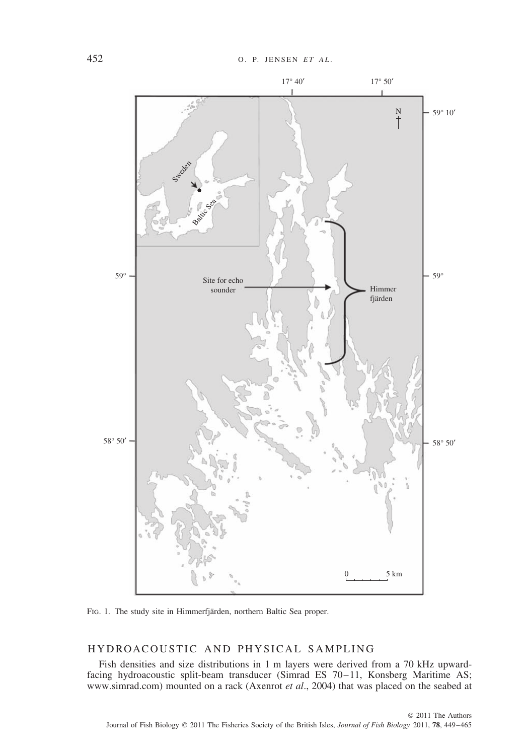

FIG. 1. The study site in Himmerfjärden, northern Baltic Sea proper.

## HYDROACOUSTIC AND PHYSICAL SAMPLING

Fish densities and size distributions in 1 m layers were derived from a 70 kHz upwardfacing hydroacoustic split-beam transducer (Simrad ES 70-11, Konsberg Maritime AS; www.simrad.com) mounted on a rack (Axenrot *et al*., 2004) that was placed on the seabed at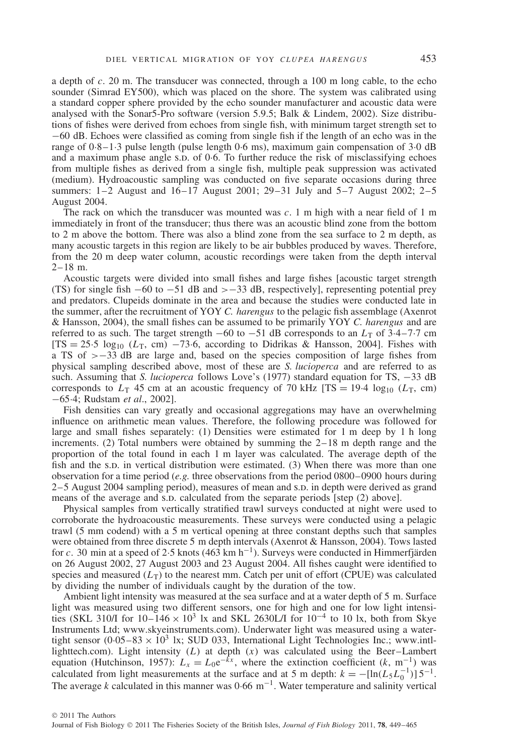a depth of *c.* 20 m. The transducer was connected, through a 100 m long cable, to the echo sounder (Simrad EY500), which was placed on the shore. The system was calibrated using a standard copper sphere provided by the echo sounder manufacturer and acoustic data were analysed with the Sonar5-Pro software (version 5.9.5; Balk & Lindem, 2002). Size distributions of fishes were derived from echoes from single fish, with minimum target strength set to −60 dB. Echoes were classified as coming from single fish if the length of an echo was in the range of 0·8–1·3 pulse length (pulse length 0·6 ms), maximum gain compensation of 3·0 dB and a maximum phase angle s.p. of  $0.6$ . To further reduce the risk of misclassifying echoes from multiple fishes as derived from a single fish, multiple peak suppression was activated (medium). Hydroacoustic sampling was conducted on five separate occasions during three summers:  $1-2$  August and  $16-17$  August 2001; 29-31 July and 5-7 August 2002; 2-5 August 2004.

The rack on which the transducer was mounted was *c.* 1 m high with a near field of 1 m immediately in front of the transducer; thus there was an acoustic blind zone from the bottom to 2 m above the bottom. There was also a blind zone from the sea surface to 2 m depth, as many acoustic targets in this region are likely to be air bubbles produced by waves. Therefore, from the 20 m deep water column, acoustic recordings were taken from the depth interval  $2 - 18$  m.

Acoustic targets were divided into small fishes and large fishes [acoustic target strength (TS) for single fish −60 to −51 dB and *>*−33 dB, respectively], representing potential prey and predators. Clupeids dominate in the area and because the studies were conducted late in the summer, after the recruitment of YOY *C. harengus* to the pelagic fish assemblage (Axenrot & Hansson, 2004), the small fishes can be assumed to be primarily YOY *C. harengus* and are referred to as such. The target strength  $-60$  to  $-51$  dB corresponds to an  $L<sub>T</sub>$  of  $3.4-7.7$  cm  $[TS = 25.5 \log_{10} (L_T, cm) -73.6$ , according to Didrikas & Hansson, 2004]. Fishes with a TS of *>*−33 dB are large and, based on the species composition of large fishes from physical sampling described above, most of these are *S. lucioperca* and are referred to as such. Assuming that *S. lucioperca* follows Love's (1977) standard equation for TS, −33 dB corresponds to  $L_T$  45 cm at an acoustic frequency of 70 kHz [TS = 19·4 log<sub>10</sub> ( $L_T$ , cm) −65·4; Rudstam *et al*., 2002].

Fish densities can vary greatly and occasional aggregations may have an overwhelming influence on arithmetic mean values. Therefore, the following procedure was followed for large and small fishes separately: (1) Densities were estimated for 1 m deep by 1 h long increments. (2) Total numbers were obtained by summing the 2–18 m depth range and the proportion of the total found in each 1 m layer was calculated. The average depth of the fish and the s.D. in vertical distribution were estimated.  $(3)$  When there was more than one observation for a time period (*e.g.* three observations from the period 0800–0900 hours during 2–5 August 2004 sampling period), measures of mean and s.p. in depth were derived as grand means of the average and s.p. calculated from the separate periods [step  $(2)$  above].

Physical samples from vertically stratified trawl surveys conducted at night were used to corroborate the hydroacoustic measurements. These surveys were conducted using a pelagic trawl (5 mm codend) with a 5 m vertical opening at three constant depths such that samples were obtained from three discrete 5 m depth intervals (Axenrot & Hansson, 2004). Tows lasted for *c*. 30 min at a speed of 2·5 knots (463 km h<sup>-1</sup>). Surveys were conducted in Himmerfjärden on 26 August 2002, 27 August 2003 and 23 August 2004. All fishes caught were identified to species and measured  $(L_T)$  to the nearest mm. Catch per unit of effort (CPUE) was calculated by dividing the number of individuals caught by the duration of the tow.

Ambient light intensity was measured at the sea surface and at a water depth of 5 m. Surface light was measured using two different sensors, one for high and one for low light intensities (SKL 310/I for  $10-146 \times 10^3$  lx and SKL 2630L/I for  $10^{-4}$  to 10 lx, both from Skye Instruments Ltd; www.skyeinstruments.com). Underwater light was measured using a watertight sensor (0·05–83  $\times$  10<sup>3</sup> lx; SUD 033, International Light Technologies Inc.; www.intllighttech.com). Light intensity  $(L)$  at depth  $(x)$  was calculated using the Beer–Lambert equation (Hutchinson, 1957):  $L_x = L_0 e^{-kx}$ , where the extinction coefficient (*k*, m<sup>-1</sup>) was calculated from light measurements at the surface and at 5 m depth:  $k = -[\ln(L_5 L_0^{-1})] 5^{-1}$ . The average *k* calculated in this manner was  $0.66 \text{ m}^{-1}$ . Water temperature and salinity vertical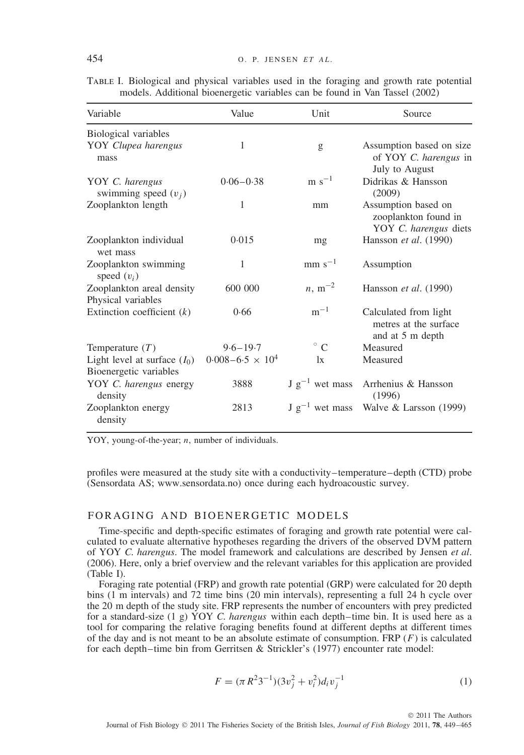| TABLE I. Biological and physical variables used in the foraging and growth rate potential |  |  |  |  |  |  |
|-------------------------------------------------------------------------------------------|--|--|--|--|--|--|
| models. Additional bioenergetic variables can be found in Van Tassel (2002)               |  |  |  |  |  |  |

| Variable                                                 | Value                     | Unit                    | Source                                                               |
|----------------------------------------------------------|---------------------------|-------------------------|----------------------------------------------------------------------|
| Biological variables                                     |                           |                         |                                                                      |
| YOY Clupea harengus<br>mass                              | 1                         | g                       | Assumption based on size<br>of YOY C. harengus in<br>July to August  |
| YOY C. harengus<br>swimming speed $(v_i)$                | $0.06 - 0.38$             | $m s^{-1}$              | Didrikas & Hansson<br>(2009)                                         |
| Zooplankton length                                       | 1                         | mm                      | Assumption based on<br>zooplankton found in<br>YOY C. harengus diets |
| Zooplankton individual<br>wet mass                       | 0.015                     | mg                      | Hansson et al. (1990)                                                |
| Zooplankton swimming<br>speed $(v_i)$                    | 1                         | $mm s^{-1}$             | Assumption                                                           |
| Zooplankton areal density<br>Physical variables          | 600 000                   | $n, m^{-2}$             | Hansson et al. (1990)                                                |
| Extinction coefficient $(k)$                             | 0.66                      | $m^{-1}$                | Calculated from light<br>metres at the surface<br>and at 5 m depth   |
| Temperature $(T)$                                        | $9.6 - 19.7$              | $^\circ$ C              | Measured                                                             |
| Light level at surface $(I_0)$<br>Bioenergetic variables | $0.008 - 6.5 \times 10^4$ | $\mathbf{1} \mathbf{x}$ | Measured                                                             |
| YOY C. harengus energy<br>density                        | 3888                      | $J g^{-1}$ wet mass     | Arrhenius & Hansson<br>(1996)                                        |
| Zooplankton energy<br>density                            | 2813                      | $J g^{-1}$ wet mass     | Walve & Larsson (1999)                                               |

YOY, young-of-the-year; *n*, number of individuals.

profiles were measured at the study site with a conductivity–temperature–depth (CTD) probe (Sensordata AS; www.sensordata.no) once during each hydroacoustic survey.

#### FORAGING AND BIOENERGETIC MODELS

Time-specific and depth-specific estimates of foraging and growth rate potential were calculated to evaluate alternative hypotheses regarding the drivers of the observed DVM pattern of YOY *C. harengus*. The model framework and calculations are described by Jensen *et al*. (2006). Here, only a brief overview and the relevant variables for this application are provided (Table I).

Foraging rate potential (FRP) and growth rate potential (GRP) were calculated for 20 depth bins (1 m intervals) and 72 time bins (20 min intervals), representing a full 24 h cycle over the 20 m depth of the study site. FRP represents the number of encounters with prey predicted for a standard-size (1 g) YOY *C. harengus* within each depth–time bin. It is used here as a tool for comparing the relative foraging benefits found at different depths at different times of the day and is not meant to be an absolute estimate of consumption. FRP (*F*) is calculated for each depth–time bin from Gerritsen & Strickler's (1977) encounter rate model:

$$
F = (\pi R^2 3^{-1})(3v_j^2 + v_i^2)d_i v_j^{-1}
$$
\n(1)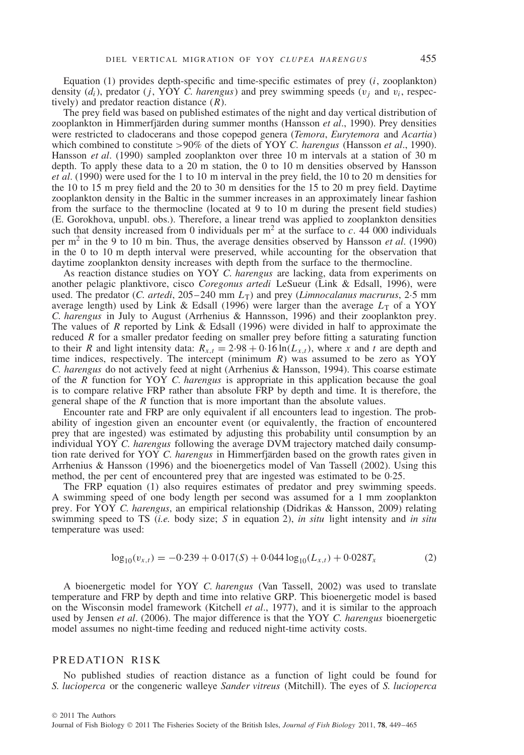Equation (1) provides depth-specific and time-specific estimates of prey (*i*, zooplankton) density  $(d_i)$ , predator (*j*, YOY *C. harengus*) and prey swimming speeds ( $v_i$  and  $v_i$ , respectively) and predator reaction distance (*R*).

The prey field was based on published estimates of the night and day vertical distribution of zooplankton in Himmerfjärden during summer months (Hansson *et al.*, 1990). Prey densities were restricted to cladocerans and those copepod genera (*Temora*, *Eurytemora* and *Acartia*) which combined to constitute *>*90% of the diets of YOY *C. harengus* (Hansson *et al*., 1990). Hansson *et al*. (1990) sampled zooplankton over three 10 m intervals at a station of 30 m depth. To apply these data to a 20 m station, the 0 to 10 m densities observed by Hansson *et al*. (1990) were used for the 1 to 10 m interval in the prey field, the 10 to 20 m densities for the 10 to 15 m prey field and the 20 to 30 m densities for the 15 to 20 m prey field. Daytime zooplankton density in the Baltic in the summer increases in an approximately linear fashion from the surface to the thermocline (located at 9 to 10 m during the present field studies) (E. Gorokhova, unpubl. obs.). Therefore, a linear trend was applied to zooplankton densities such that density increased from 0 individuals per  $m<sup>2</sup>$  at the surface to *c*. 44 000 individuals per m<sup>2</sup> in the 9 to 10 m bin. Thus, the average densities observed by Hansson *et al*. (1990) in the 0 to 10 m depth interval were preserved, while accounting for the observation that daytime zooplankton density increases with depth from the surface to the thermocline.

As reaction distance studies on YOY *C. harengus* are lacking, data from experiments on another pelagic planktivore, cisco *Coregonus artedi* LeSueur (Link & Edsall, 1996), were used. The predator (*C. artedi*, 205–240 mm *L*T) and prey (*Limnocalanus macrurus*, 2·5 mm average length) used by Link & Edsall (1996) were larger than the average  $L<sub>T</sub>$  of a YOY *C. harengus* in July to August (Arrhenius & Hannsson, 1996) and their zooplankton prey. The values of *R* reported by Link & Edsall (1996) were divided in half to approximate the reduced *R* for a smaller predator feeding on smaller prey before fitting a saturating function to their *R* and light intensity data:  $R_{x,t} = 2.98 + 0.16 \ln(L_{x,t})$ , where *x* and *t* are depth and time indices, respectively. The intercept (minimum *R*) was assumed to be zero as YOY *C. harengus* do not actively feed at night (Arrhenius & Hansson, 1994). This coarse estimate of the *R* function for YOY *C. harengus* is appropriate in this application because the goal is to compare relative FRP rather than absolute FRP by depth and time. It is therefore, the general shape of the *R* function that is more important than the absolute values.

Encounter rate and FRP are only equivalent if all encounters lead to ingestion. The probability of ingestion given an encounter event (or equivalently, the fraction of encountered prey that are ingested) was estimated by adjusting this probability until consumption by an individual YOY *C. harengus* following the average DVM trajectory matched daily consumption rate derived for YOY *C. harengus* in Himmerfjärden based on the growth rates given in Arrhenius & Hansson (1996) and the bioenergetics model of Van Tassell (2002). Using this method, the per cent of encountered prey that are ingested was estimated to be 0·25.

The FRP equation (1) also requires estimates of predator and prey swimming speeds. A swimming speed of one body length per second was assumed for a 1 mm zooplankton prey. For YOY *C. harengus*, an empirical relationship (Didrikas & Hansson, 2009) relating swimming speed to TS (*i.e.* body size; *S* in equation 2), *in situ* light intensity and *in situ* temperature was used:

$$
\log_{10}(v_{x,t}) = -0.239 + 0.017(S) + 0.044 \log_{10}(L_{x,t}) + 0.028T_x
$$
 (2)

A bioenergetic model for YOY *C. harengus* (Van Tassell, 2002) was used to translate temperature and FRP by depth and time into relative GRP. This bioenergetic model is based on the Wisconsin model framework (Kitchell *et al*., 1977), and it is similar to the approach used by Jensen *et al*. (2006). The major difference is that the YOY *C. harengus* bioenergetic model assumes no night-time feeding and reduced night-time activity costs.

#### PREDATION RISK

No published studies of reaction distance as a function of light could be found for *S. lucioperca* or the congeneric walleye *Sander vitreus* (Mitchill). The eyes of *S. lucioperca*

© 2011 The Authors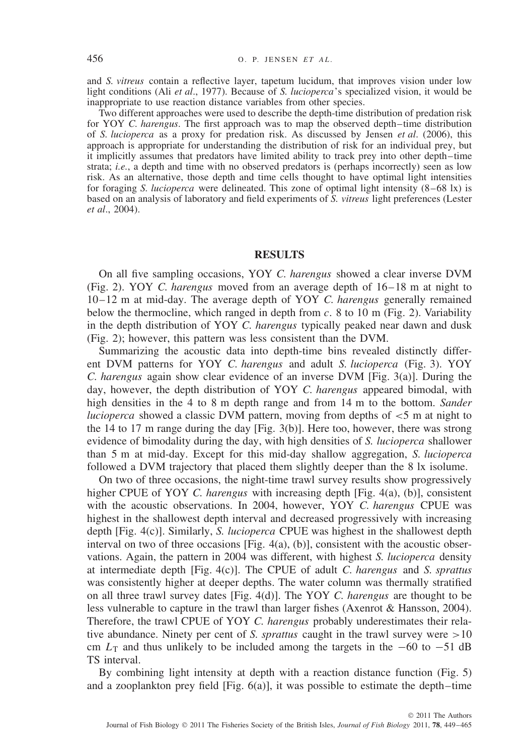and *S. vitreus* contain a reflective layer, tapetum lucidum, that improves vision under low light conditions (Ali *et al*., 1977). Because of *S. lucioperca*'s specialized vision, it would be inappropriate to use reaction distance variables from other species.

Two different approaches were used to describe the depth-time distribution of predation risk for YOY *C. harengus*. The first approach was to map the observed depth–time distribution of *S. lucioperca* as a proxy for predation risk. As discussed by Jensen *et al*. (2006), this approach is appropriate for understanding the distribution of risk for an individual prey, but it implicitly assumes that predators have limited ability to track prey into other depth–time strata; *i.e.*, a depth and time with no observed predators is (perhaps incorrectly) seen as low risk. As an alternative, those depth and time cells thought to have optimal light intensities for foraging *S. lucioperca* were delineated. This zone of optimal light intensity (8–68 lx) is based on an analysis of laboratory and field experiments of *S. vitreus* light preferences (Lester *et al*., 2004).

#### **RESULTS**

On all five sampling occasions, YOY *C. harengus* showed a clear inverse DVM (Fig. 2). YOY *C. harengus* moved from an average depth of 16–18 m at night to 10–12 m at mid-day. The average depth of YOY *C. harengus* generally remained below the thermocline, which ranged in depth from  $c$ . 8 to 10 m (Fig. 2). Variability in the depth distribution of YOY *C. harengus* typically peaked near dawn and dusk (Fig. 2); however, this pattern was less consistent than the DVM.

Summarizing the acoustic data into depth-time bins revealed distinctly different DVM patterns for YOY *C. harengus* and adult *S. lucioperca* (Fig. 3). YOY *C. harengus* again show clear evidence of an inverse DVM [Fig. 3(a)]. During the day, however, the depth distribution of YOY *C. harengus* appeared bimodal, with high densities in the 4 to 8 m depth range and from 14 m to the bottom. *Sander lucioperca* showed a classic DVM pattern, moving from depths of *<*5 m at night to the 14 to 17 m range during the day [Fig. 3(b)]. Here too, however, there was strong evidence of bimodality during the day, with high densities of *S. lucioperca* shallower than 5 m at mid-day. Except for this mid-day shallow aggregation, *S. lucioperca* followed a DVM trajectory that placed them slightly deeper than the 8 lx isolume.

On two of three occasions, the night-time trawl survey results show progressively higher CPUE of YOY *C. harengus* with increasing depth [Fig. 4(a), (b)], consistent with the acoustic observations. In 2004, however, YOY *C. harengus* CPUE was highest in the shallowest depth interval and decreased progressively with increasing depth [Fig. 4(c)]. Similarly, *S. lucioperca* CPUE was highest in the shallowest depth interval on two of three occasions [Fig. 4(a), (b)], consistent with the acoustic observations. Again, the pattern in 2004 was different, with highest *S. lucioperca* density at intermediate depth [Fig. 4(c)]. The CPUE of adult *C. harengus* and *S. sprattus* was consistently higher at deeper depths. The water column was thermally stratified on all three trawl survey dates [Fig. 4(d)]. The YOY *C. harengus* are thought to be less vulnerable to capture in the trawl than larger fishes (Axenrot & Hansson, 2004). Therefore, the trawl CPUE of YOY *C. harengus* probably underestimates their relative abundance. Ninety per cent of *S. sprattus* caught in the trawl survey were *>*10 cm  $L_T$  and thus unlikely to be included among the targets in the  $-60$  to  $-51$  dB TS interval.

By combining light intensity at depth with a reaction distance function (Fig. 5) and a zooplankton prey field [Fig. 6(a)], it was possible to estimate the depth–time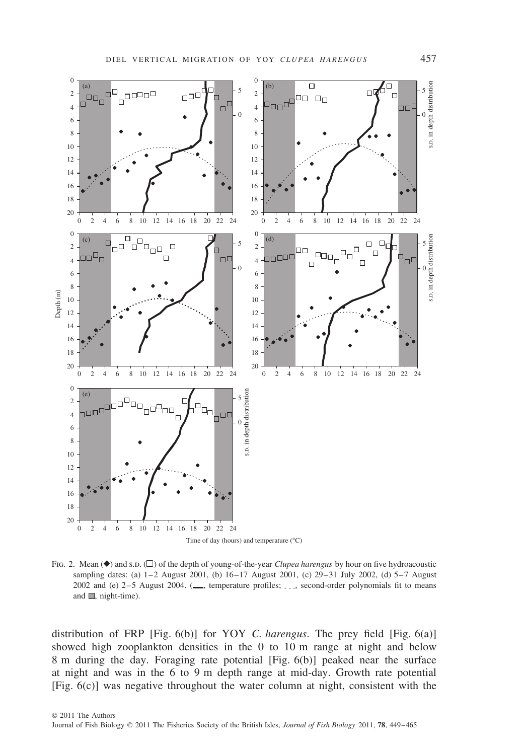

FIG. 2. Mean  $(\blacklozenge)$  and s.p.  $(\square)$  of the depth of young-of-the-year *Clupea harengus* by hour on five hydroacoustic sampling dates: (a) 1–2 August 2001, (b) 16–17 August 2001, (c) 29–31 July 2002, (d) 5–7 August 2002 and (e) 2-5 August 2004. (
<sub>c</sub>, temperature profiles; ..., second-order polynomials fit to means and  $\blacksquare$ , night-time).

distribution of FRP [Fig. 6(b)] for YOY *C. harengus*. The prey field [Fig. 6(a)] showed high zooplankton densities in the 0 to 10 m range at night and below 8 m during the day. Foraging rate potential [Fig. 6(b)] peaked near the surface at night and was in the 6 to 9 m depth range at mid-day. Growth rate potential [Fig. 6(c)] was negative throughout the water column at night, consistent with the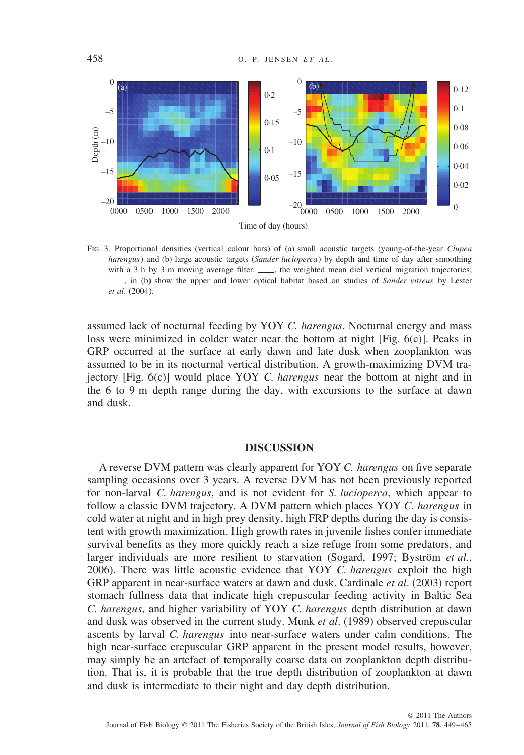

Fig. 3. Proportional densities (vertical colour bars) of (a) small acoustic targets (young-of-the-year *Clupea harengus*) and (b) large acoustic targets (*Sander lucioperca*) by depth and time of day after smoothing with a 3 h by 3 m moving average filter.  $\frac{1}{\sqrt{2}}$ , the weighted mean diel vertical migration trajectories; , in (b) show the upper and lower optical habitat based on studies of *Sander vitreus* by Lester *et al*. (2004).

assumed lack of nocturnal feeding by YOY *C. harengus*. Nocturnal energy and mass loss were minimized in colder water near the bottom at night [Fig. 6(c)]. Peaks in GRP occurred at the surface at early dawn and late dusk when zooplankton was assumed to be in its nocturnal vertical distribution. A growth-maximizing DVM trajectory [Fig. 6(c)] would place YOY *C. harengus* near the bottom at night and in the 6 to 9 m depth range during the day, with excursions to the surface at dawn and dusk.

#### **DISCUSSION**

A reverse DVM pattern was clearly apparent for YOY *C. harengus* on five separate sampling occasions over 3 years. A reverse DVM has not been previously reported for non-larval *C. harengus*, and is not evident for *S. lucioperca*, which appear to follow a classic DVM trajectory. A DVM pattern which places YOY *C. harengus* in cold water at night and in high prey density, high FRP depths during the day is consistent with growth maximization. High growth rates in juvenile fishes confer immediate survival benefits as they more quickly reach a size refuge from some predators, and larger individuals are more resilient to starvation (Sogard, 1997; Byström *et al.*, 2006). There was little acoustic evidence that YOY *C. harengus* exploit the high GRP apparent in near-surface waters at dawn and dusk. Cardinale *et al*. (2003) report stomach fullness data that indicate high crepuscular feeding activity in Baltic Sea *C. harengus*, and higher variability of YOY *C. harengus* depth distribution at dawn and dusk was observed in the current study. Munk *et al*. (1989) observed crepuscular ascents by larval *C. harengus* into near-surface waters under calm conditions. The high near-surface crepuscular GRP apparent in the present model results, however, may simply be an artefact of temporally coarse data on zooplankton depth distribution. That is, it is probable that the true depth distribution of zooplankton at dawn and dusk is intermediate to their night and day depth distribution.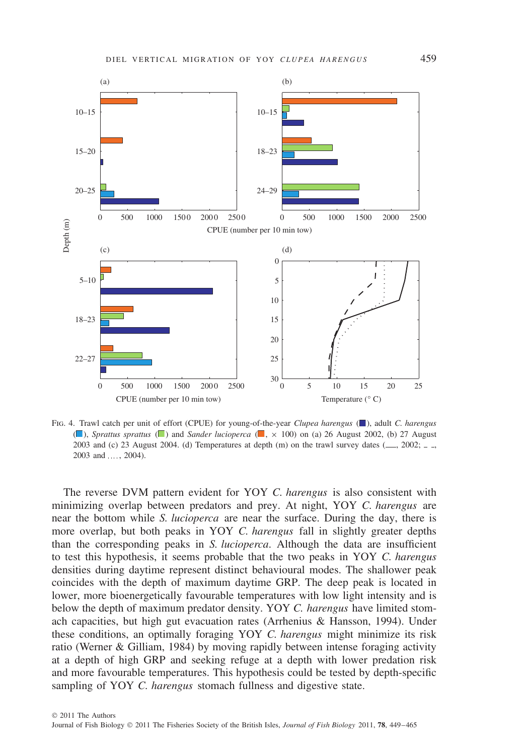

Fig. 4. Trawl catch per unit of effort (CPUE) for young-of-the-year *Clupea harengus* ( ), adult *C. harengus* (n), *Sprattus sprattus* (n) and *Sander lucioperca* (n,  $\times$  100) on (a) 26 August 2002, (b) 27 August 2003 and (c) 23 August 2004. (d) Temperatures at depth (m) on the trawl survey dates  $($ <sub>--</sub>, 2002;  $-$ <sub>-</sub> 2003 and , 2004).

The reverse DVM pattern evident for YOY *C. harengus* is also consistent with minimizing overlap between predators and prey. At night, YOY *C. harengus* are near the bottom while *S. lucioperca* are near the surface. During the day, there is more overlap, but both peaks in YOY *C. harengus* fall in slightly greater depths than the corresponding peaks in *S. lucioperca*. Although the data are insufficient to test this hypothesis, it seems probable that the two peaks in YOY *C. harengus* densities during daytime represent distinct behavioural modes. The shallower peak coincides with the depth of maximum daytime GRP. The deep peak is located in lower, more bioenergetically favourable temperatures with low light intensity and is below the depth of maximum predator density. YOY *C. harengus* have limited stomach capacities, but high gut evacuation rates (Arrhenius & Hansson, 1994). Under these conditions, an optimally foraging YOY *C. harengus* might minimize its risk ratio (Werner & Gilliam, 1984) by moving rapidly between intense foraging activity at a depth of high GRP and seeking refuge at a depth with lower predation risk and more favourable temperatures. This hypothesis could be tested by depth-specific sampling of YOY *C. harengus* stomach fullness and digestive state.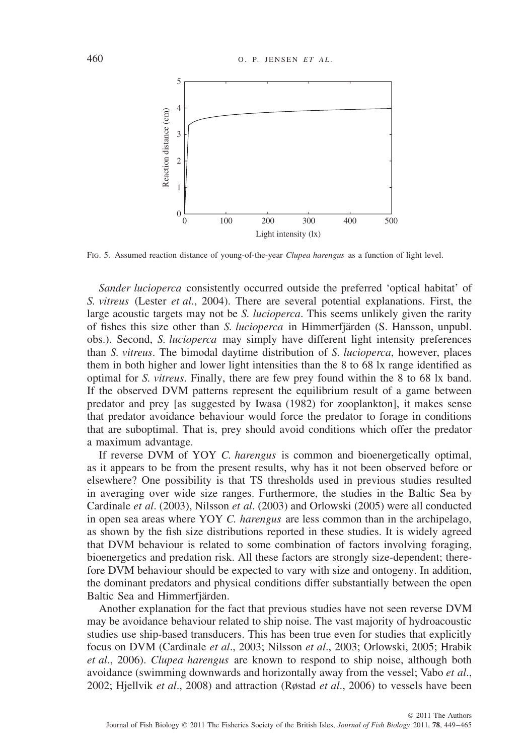

Fig. 5. Assumed reaction distance of young-of-the-year *Clupea harengus* as a function of light level.

*Sander lucioperca* consistently occurred outside the preferred 'optical habitat' of *S. vitreus* (Lester *et al*., 2004). There are several potential explanations. First, the large acoustic targets may not be *S. lucioperca*. This seems unlikely given the rarity of fishes this size other than *S. lucioperca* in Himmerfjärden (S. Hansson, unpubl. obs.). Second, *S. lucioperca* may simply have different light intensity preferences than *S. vitreus*. The bimodal daytime distribution of *S. lucioperca*, however, places them in both higher and lower light intensities than the 8 to 68 lx range identified as optimal for *S. vitreus*. Finally, there are few prey found within the 8 to 68 lx band. If the observed DVM patterns represent the equilibrium result of a game between predator and prey [as suggested by Iwasa (1982) for zooplankton], it makes sense that predator avoidance behaviour would force the predator to forage in conditions that are suboptimal. That is, prey should avoid conditions which offer the predator a maximum advantage.

If reverse DVM of YOY *C. harengus* is common and bioenergetically optimal, as it appears to be from the present results, why has it not been observed before or elsewhere? One possibility is that TS thresholds used in previous studies resulted in averaging over wide size ranges. Furthermore, the studies in the Baltic Sea by Cardinale *et al*. (2003), Nilsson *et al*. (2003) and Orlowski (2005) were all conducted in open sea areas where YOY *C. harengus* are less common than in the archipelago, as shown by the fish size distributions reported in these studies. It is widely agreed that DVM behaviour is related to some combination of factors involving foraging, bioenergetics and predation risk. All these factors are strongly size-dependent; therefore DVM behaviour should be expected to vary with size and ontogeny. In addition, the dominant predators and physical conditions differ substantially between the open Baltic Sea and Himmerfiärden.

Another explanation for the fact that previous studies have not seen reverse DVM may be avoidance behaviour related to ship noise. The vast majority of hydroacoustic studies use ship-based transducers. This has been true even for studies that explicitly focus on DVM (Cardinale *et al*., 2003; Nilsson *et al*., 2003; Orlowski, 2005; Hrabik *et al*., 2006). *Clupea harengus* are known to respond to ship noise, although both avoidance (swimming downwards and horizontally away from the vessel; Vabo *et al*., 2002; Hjellvik *et al*., 2008) and attraction (Røstad *et al*., 2006) to vessels have been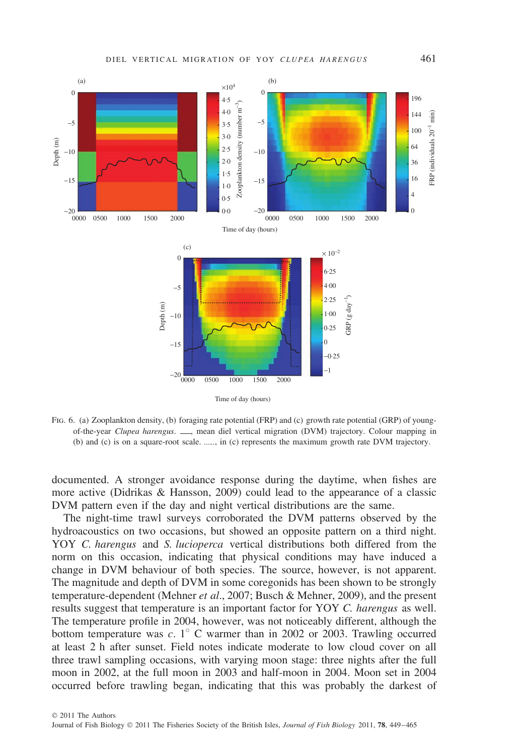

Fig. 6. (a) Zooplankton density, (b) foraging rate potential (FRP) and (c) growth rate potential (GRP) of youngof-the-year *Clupea harengus*. <sub>—</sub>, mean diel vertical migration (DVM) trajectory. Colour mapping in (b) and (c) is on a square-root scale. ....., in (c) represents the maximum growth rate DVM trajectory.

documented. A stronger avoidance response during the daytime, when fishes are more active (Didrikas & Hansson, 2009) could lead to the appearance of a classic DVM pattern even if the day and night vertical distributions are the same.

The night-time trawl surveys corroborated the DVM patterns observed by the hydroacoustics on two occasions, but showed an opposite pattern on a third night. YOY *C. harengus* and *S. lucioperca* vertical distributions both differed from the norm on this occasion, indicating that physical conditions may have induced a change in DVM behaviour of both species. The source, however, is not apparent. The magnitude and depth of DVM in some coregonids has been shown to be strongly temperature-dependent (Mehner *et al*., 2007; Busch & Mehner, 2009), and the present results suggest that temperature is an important factor for YOY *C. harengus* as well. The temperature profile in 2004, however, was not noticeably different, although the bottom temperature was *c*. 1<sup>°</sup> C warmer than in 2002 or 2003. Trawling occurred at least 2 h after sunset. Field notes indicate moderate to low cloud cover on all three trawl sampling occasions, with varying moon stage: three nights after the full moon in 2002, at the full moon in 2003 and half-moon in 2004. Moon set in 2004 occurred before trawling began, indicating that this was probably the darkest of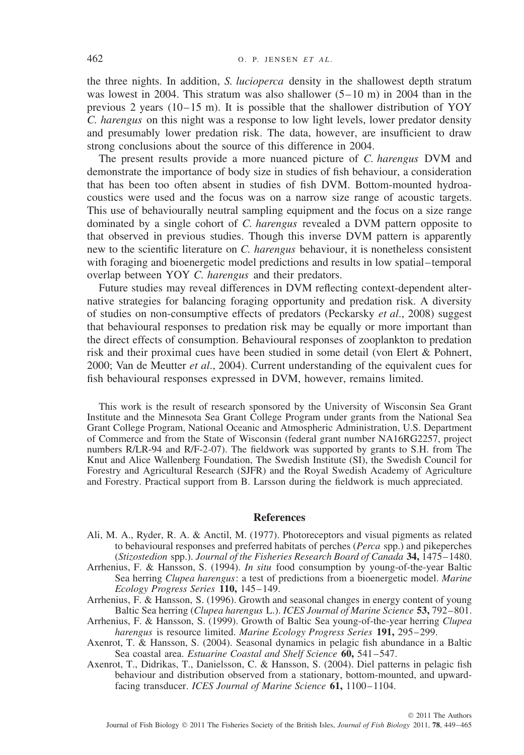the three nights. In addition, *S. lucioperca* density in the shallowest depth stratum was lowest in 2004. This stratum was also shallower  $(5-10 \text{ m})$  in 2004 than in the previous 2 years  $(10-15 \text{ m})$ . It is possible that the shallower distribution of YOY *C. harengus* on this night was a response to low light levels, lower predator density and presumably lower predation risk. The data, however, are insufficient to draw strong conclusions about the source of this difference in 2004.

The present results provide a more nuanced picture of *C. harengus* DVM and demonstrate the importance of body size in studies of fish behaviour, a consideration that has been too often absent in studies of fish DVM. Bottom-mounted hydroacoustics were used and the focus was on a narrow size range of acoustic targets. This use of behaviourally neutral sampling equipment and the focus on a size range dominated by a single cohort of *C. harengus* revealed a DVM pattern opposite to that observed in previous studies. Though this inverse DVM pattern is apparently new to the scientific literature on *C. harengus* behaviour, it is nonetheless consistent with foraging and bioenergetic model predictions and results in low spatial–temporal overlap between YOY *C. harengus* and their predators.

Future studies may reveal differences in DVM reflecting context-dependent alternative strategies for balancing foraging opportunity and predation risk. A diversity of studies on non-consumptive effects of predators (Peckarsky *et al*., 2008) suggest that behavioural responses to predation risk may be equally or more important than the direct effects of consumption. Behavioural responses of zooplankton to predation risk and their proximal cues have been studied in some detail (von Elert & Pohnert, 2000; Van de Meutter *et al*., 2004). Current understanding of the equivalent cues for fish behavioural responses expressed in DVM, however, remains limited.

This work is the result of research sponsored by the University of Wisconsin Sea Grant Institute and the Minnesota Sea Grant College Program under grants from the National Sea Grant College Program, National Oceanic and Atmospheric Administration, U.S. Department of Commerce and from the State of Wisconsin (federal grant number NA16RG2257, project numbers R/LR-94 and R/F-2-07). The fieldwork was supported by grants to S.H. from The Knut and Alice Wallenberg Foundation, The Swedish Institute (SI), the Swedish Council for Forestry and Agricultural Research (SJFR) and the Royal Swedish Academy of Agriculture and Forestry. Practical support from B. Larsson during the fieldwork is much appreciated.

#### **References**

- Ali, M. A., Ryder, R. A. & Anctil, M. (1977). Photoreceptors and visual pigments as related to behavioural responses and preferred habitats of perches (*Perca* spp.) and pikeperches (*Stizostedion* spp.). *Journal of the Fisheries Research Board of Canada* **34,** 1475–1480.
- Arrhenius, F. & Hansson, S. (1994). *In situ* food consumption by young-of-the-year Baltic Sea herring *Clupea harengus*: a test of predictions from a bioenergetic model. *Marine Ecology Progress Series* **110,** 145–149.
- Arrhenius, F. & Hansson, S. (1996). Growth and seasonal changes in energy content of young Baltic Sea herring (*Clupea harengus* L.). *ICES Journal of Marine Science* **53,** 792–801.
- Arrhenius, F. & Hansson, S. (1999). Growth of Baltic Sea young-of-the-year herring *Clupea harengus* is resource limited. *Marine Ecology Progress Series* **191,** 295–299.
- Axenrot, T. & Hansson, S. (2004). Seasonal dynamics in pelagic fish abundance in a Baltic Sea coastal area. *Estuarine Coastal and Shelf Science* **60,** 541–547.
- Axenrot, T., Didrikas, T., Danielsson, C. & Hansson, S. (2004). Diel patterns in pelagic fish behaviour and distribution observed from a stationary, bottom-mounted, and upwardfacing transducer. *ICES Journal of Marine Science* **61,** 1100–1104.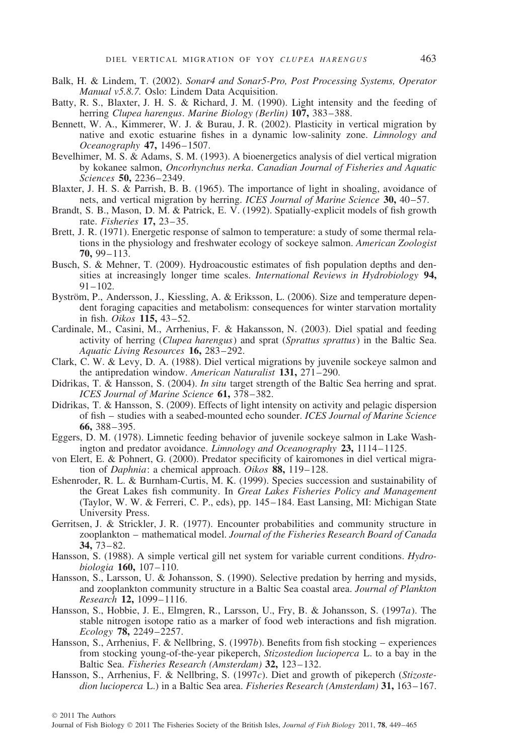- Balk, H. & Lindem, T. (2002). *Sonar4 and Sonar5-Pro, Post Processing Systems, Operator Manual v5.8.7.* Oslo: Lindem Data Acquisition.
- Batty, R. S., Blaxter, J. H. S. & Richard, J. M. (1990). Light intensity and the feeding of herring *Clupea harengus*. *Marine Biology (Berlin)* **107,** 383–388.
- Bennett, W. A., Kimmerer, W. J. & Burau, J. R. (2002). Plasticity in vertical migration by native and exotic estuarine fishes in a dynamic low-salinity zone. *Limnology and Oceanography* **47,** 1496–1507.
- Bevelhimer, M. S. & Adams, S. M. (1993). A bioenergetics analysis of diel vertical migration by kokanee salmon, *Oncorhynchus nerka*. *Canadian Journal of Fisheries and Aquatic Sciences* **50,** 2236–2349.
- Blaxter, J. H. S. & Parrish, B. B. (1965). The importance of light in shoaling, avoidance of nets, and vertical migration by herring. *ICES Journal of Marine Science* **30,** 40–57.
- Brandt, S. B., Mason, D. M. & Patrick, E. V. (1992). Spatially-explicit models of fish growth rate. *Fisheries* **17,** 23–35.
- Brett, J. R. (1971). Energetic response of salmon to temperature: a study of some thermal relations in the physiology and freshwater ecology of sockeye salmon. *American Zoologist* **70,** 99–113.
- Busch, S. & Mehner, T. (2009). Hydroacoustic estimates of fish population depths and densities at increasingly longer time scales. *International Reviews in Hydrobiology* **94,** 91–102.
- Byström, P., Andersson, J., Kiessling, A. & Eriksson, L. (2006). Size and temperature dependent foraging capacities and metabolism: consequences for winter starvation mortality in fish. *Oikos* **115,** 43–52.
- Cardinale, M., Casini, M., Arrhenius, F. & Hakansson, N. (2003). Diel spatial and feeding activity of herring (*Clupea harengus*) and sprat (*Sprattus sprattus*) in the Baltic Sea. *Aquatic Living Resources* **16,** 283–292.
- Clark, C. W. & Levy, D. A. (1988). Diel vertical migrations by juvenile sockeye salmon and the antipredation window. *American Naturalist* **131,** 271–290.
- Didrikas, T. & Hansson, S. (2004). *In situ* target strength of the Baltic Sea herring and sprat. *ICES Journal of Marine Science* **61,** 378–382.
- Didrikas, T. & Hansson, S. (2009). Effects of light intensity on activity and pelagic dispersion of fish – studies with a seabed-mounted echo sounder. *ICES Journal of Marine Science* **66,** 388–395.
- Eggers, D. M. (1978). Limnetic feeding behavior of juvenile sockeye salmon in Lake Washington and predator avoidance. *Limnology and Oceanography* **23,** 1114–1125.
- von Elert, E. & Pohnert, G. (2000). Predator specificity of kairomones in diel vertical migration of *Daphnia*: a chemical approach. *Oikos* **88,** 119–128.
- Eshenroder, R. L. & Burnham-Curtis, M. K. (1999). Species succession and sustainability of the Great Lakes fish community. In *Great Lakes Fisheries Policy and Management* (Taylor, W. W. & Ferreri, C. P., eds), pp. 145–184. East Lansing, MI: Michigan State University Press.
- Gerritsen, J. & Strickler, J. R. (1977). Encounter probabilities and community structure in zooplankton – mathematical model. *Journal of the Fisheries Research Board of Canada* **34,** 73–82.
- Hansson, S. (1988). A simple vertical gill net system for variable current conditions. *Hydrobiologia* **160,** 107–110.
- Hansson, S., Larsson, U. & Johansson, S. (1990). Selective predation by herring and mysids, and zooplankton community structure in a Baltic Sea coastal area. *Journal of Plankton Research* **12,** 1099–1116.
- Hansson, S., Hobbie, J. E., Elmgren, R., Larsson, U., Fry, B. & Johansson, S. (1997*a*). The stable nitrogen isotope ratio as a marker of food web interactions and fish migration. *Ecology* **78,** 2249–2257.
- Hansson, S., Arrhenius, F. & Nellbring, S. (1997*b*). Benefits from fish stocking experiences from stocking young-of-the-year pikeperch, *Stizostedion lucioperca* L. to a bay in the Baltic Sea. *Fisheries Research (Amsterdam)* **32,** 123–132.
- Hansson, S., Arrhenius, F. & Nellbring, S. (1997*c*). Diet and growth of pikeperch (*Stizostedion lucioperca* L.) in a Baltic Sea area. *Fisheries Research (Amsterdam)* **31,** 163–167.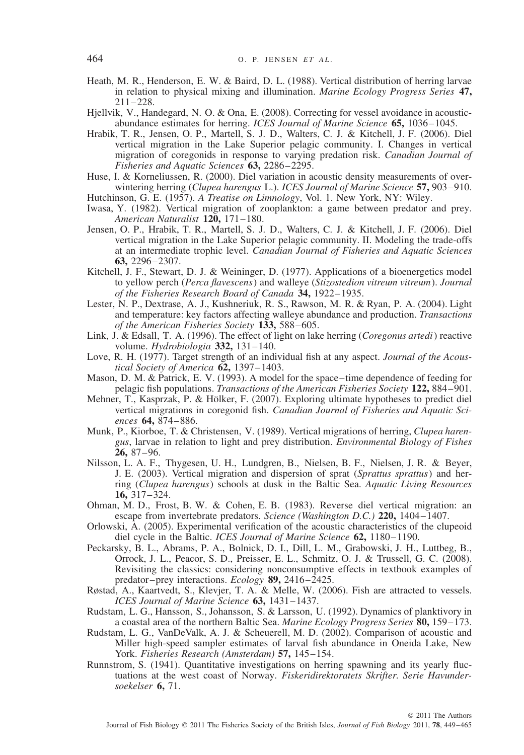- Heath, M. R., Henderson, E. W. & Baird, D. L. (1988). Vertical distribution of herring larvae in relation to physical mixing and illumination. *Marine Ecology Progress Series* **47,** 211–228.
- Hjellvik, V., Handegard, N. O. & Ona, E. (2008). Correcting for vessel avoidance in acousticabundance estimates for herring. *ICES Journal of Marine Science* **65,** 1036–1045.
- Hrabik, T. R., Jensen, O. P., Martell, S. J. D., Walters, C. J. & Kitchell, J. F. (2006). Diel vertical migration in the Lake Superior pelagic community. I. Changes in vertical migration of coregonids in response to varying predation risk. *Canadian Journal of Fisheries and Aquatic Sciences* **63,** 2286–2295.
- Huse, I. & Korneliussen, R. (2000). Diel variation in acoustic density measurements of overwintering herring (*Clupea harengus* L.). *ICES Journal of Marine Science* **57,** 903–910.

Hutchinson, G. E. (1957). *A Treatise on Limnology*, Vol. 1. New York, NY: Wiley.

- Iwasa, Y. (1982). Vertical migration of zooplankton: a game between predator and prey. *American Naturalist* **120,** 171–180.
- Jensen, O. P., Hrabik, T. R., Martell, S. J. D., Walters, C. J. & Kitchell, J. F. (2006). Diel vertical migration in the Lake Superior pelagic community. II. Modeling the trade-offs at an intermediate trophic level. *Canadian Journal of Fisheries and Aquatic Sciences* **63,** 2296–2307.
- Kitchell, J. F., Stewart, D. J. & Weininger, D. (1977). Applications of a bioenergetics model to yellow perch (*Perca flavescens*) and walleye (*Stizostedion vitreum vitreum*). *Journal of the Fisheries Research Board of Canada* **34,** 1922–1935.
- Lester, N. P., Dextrase, A. J., Kushneriuk, R. S., Rawson, M. R. & Ryan, P. A. (2004). Light and temperature: key factors affecting walleye abundance and production. *Transactions of the American Fisheries Society* **133,** 588–605.
- Link, J. & Edsall, T. A. (1996). The effect of light on lake herring (*Coregonus artedi*) reactive volume. *Hydrobiologia* **332,** 131–140.
- Love, R. H. (1977). Target strength of an individual fish at any aspect. *Journal of the Acoustical Society of America* **62,** 1397–1403.
- Mason, D. M. & Patrick, E. V. (1993). A model for the space–time dependence of feeding for pelagic fish populations. *Transactions of the American Fisheries Society* **122,** 884–901.
- Mehner, T., Kasprzak, P. & Hölker, F. (2007). Exploring ultimate hypotheses to predict diel vertical migrations in coregonid fish. *Canadian Journal of Fisheries and Aquatic Sciences* **64,** 874–886.
- Munk, P., Kiorboe, T. & Christensen, V. (1989). Vertical migrations of herring, *Clupea harengus*, larvae in relation to light and prey distribution. *Environmental Biology of Fishes* **26,** 87–96.
- Nilsson, L. A. F., Thygesen, U. H., Lundgren, B., Nielsen, B. F., Nielsen, J. R. & Beyer, J. E. (2003). Vertical migration and dispersion of sprat (*Sprattus sprattus*) and herring (*Clupea harengus*) schools at dusk in the Baltic Sea. *Aquatic Living Resources* **16,** 317–324.
- Ohman, M. D., Frost, B. W. & Cohen, E. B. (1983). Reverse diel vertical migration: an escape from invertebrate predators. *Science (Washington D.C.)* **220,** 1404–1407.
- Orlowski, A. (2005). Experimental verification of the acoustic characteristics of the clupeoid diel cycle in the Baltic. *ICES Journal of Marine Science* **62,** 1180–1190.
- Peckarsky, B. L., Abrams, P. A., Bolnick, D. I., Dill, L. M., Grabowski, J. H., Luttbeg, B., Orrock, J. L., Peacor, S. D., Preisser, E. L., Schmitz, O. J. & Trussell, G. C. (2008). Revisiting the classics: considering nonconsumptive effects in textbook examples of predator–prey interactions. *Ecology* **89,** 2416–2425.
- Røstad, A., Kaartvedt, S., Klevjer, T. A. & Melle, W. (2006). Fish are attracted to vessels. *ICES Journal of Marine Science* **63,** 1431–1437.
- Rudstam, L. G., Hansson, S., Johansson, S. & Larsson, U. (1992). Dynamics of planktivory in a coastal area of the northern Baltic Sea. *Marine Ecology Progress Series* **80,** 159–173.
- Rudstam, L. G., VanDeValk, A. J. & Scheuerell, M. D. (2002). Comparison of acoustic and Miller high-speed sampler estimates of larval fish abundance in Oneida Lake, New York. *Fisheries Research (Amsterdam)* **57,** 145–154.
- Runnstrom, S. (1941). Quantitative investigations on herring spawning and its yearly fluctuations at the west coast of Norway. *Fiskeridirektoratets Skrifter. Serie Havundersoekelser* **6,** 71.